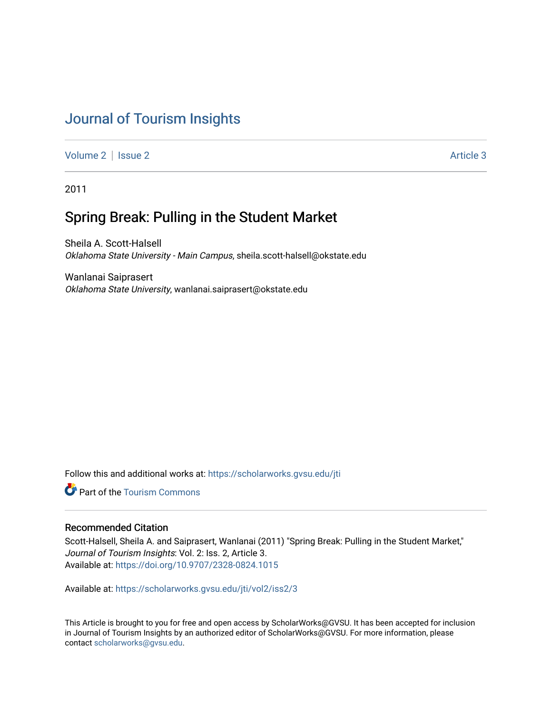# [Journal of Tourism Insights](https://scholarworks.gvsu.edu/jti)

[Volume 2](https://scholarworks.gvsu.edu/jti/vol2) | [Issue 2](https://scholarworks.gvsu.edu/jti/vol2/iss2) Article 3

2011

# Spring Break: Pulling in the Student Market

Sheila A. Scott-Halsell Oklahoma State University - Main Campus, sheila.scott-halsell@okstate.edu

Wanlanai Saiprasert Oklahoma State University, wanlanai.saiprasert@okstate.edu

Follow this and additional works at: [https://scholarworks.gvsu.edu/jti](https://scholarworks.gvsu.edu/jti?utm_source=scholarworks.gvsu.edu%2Fjti%2Fvol2%2Fiss2%2F3&utm_medium=PDF&utm_campaign=PDFCoverPages) 

Part of the [Tourism Commons](http://network.bepress.com/hgg/discipline/1022?utm_source=scholarworks.gvsu.edu%2Fjti%2Fvol2%2Fiss2%2F3&utm_medium=PDF&utm_campaign=PDFCoverPages)

# Recommended Citation

Scott-Halsell, Sheila A. and Saiprasert, Wanlanai (2011) "Spring Break: Pulling in the Student Market," Journal of Tourism Insights: Vol. 2: Iss. 2, Article 3. Available at:<https://doi.org/10.9707/2328-0824.1015>

Available at: [https://scholarworks.gvsu.edu/jti/vol2/iss2/3](https://scholarworks.gvsu.edu/jti/vol2/iss2/3?utm_source=scholarworks.gvsu.edu%2Fjti%2Fvol2%2Fiss2%2F3&utm_medium=PDF&utm_campaign=PDFCoverPages)

This Article is brought to you for free and open access by ScholarWorks@GVSU. It has been accepted for inclusion in Journal of Tourism Insights by an authorized editor of ScholarWorks@GVSU. For more information, please contact [scholarworks@gvsu.edu.](mailto:scholarworks@gvsu.edu)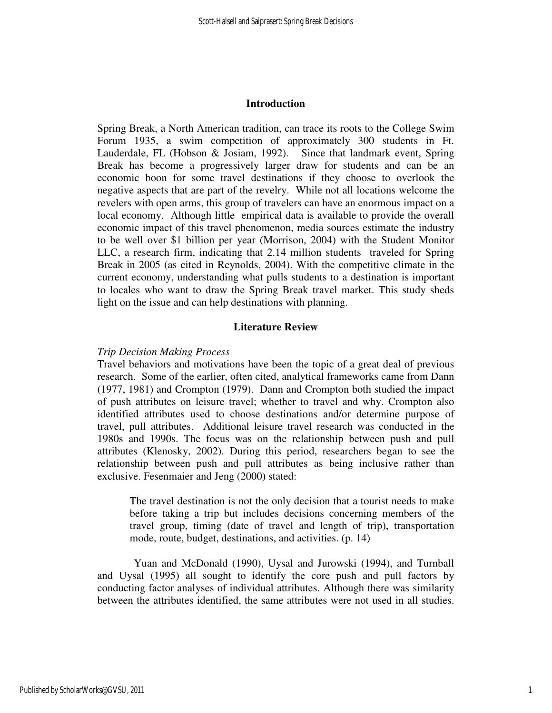#### **Introduction**

Spring Break, a North American tradition, can trace its roots to the College Swim Forum 1935, a swim competition of approximately 300 students in Ft. Lauderdale, FL (Hobson & Josiam, 1992). Since that landmark event, Spring Break has become a progressively larger draw for students and can be an economic boon for some travel destinations if they choose to overlook the negative aspects that are part of the revelry. While not all locations welcome the revelers with open arms, this group of travelers can have an enormous impact on a local economy. Although little empirical data is available to provide the overall economic impact of this travel phenomenon, media sources estimate the industry to be well over \$1 billion per year (Morrison, 2004) with the Student Monitor LLC, a research firm, indicating that 2.14 million students traveled for Spring Break in 2005 (as cited in Reynolds, 2004). With the competitive climate in the current economy, understanding what pulls students to a destination is important to locales who want to draw the Spring Break travel market. This study sheds light on the issue and can help destinations with planning.

#### **Literature Review**

#### *Trip Decision Making Process*

Travel behaviors and motivations have been the topic of a great deal of previous research. Some of the earlier, often cited, analytical frameworks came from Dann (1977, 1981) and Crompton (1979). Dann and Crompton both studied the impact of push attributes on leisure travel; whether to travel and why. Crompton also identified attributes used to choose destinations and/or determine purpose of travel, pull attributes. Additional leisure travel research was conducted in the 1980s and 1990s. The focus was on the relationship between push and pull attributes (Klenosky, 2002). During this period, researchers began to see the relationship between push and pull attributes as being inclusive rather than exclusive. Fesenmaier and Jeng (2000) stated:

The travel destination is not the only decision that a tourist needs to make before taking a trip but includes decisions concerning members of the travel group, timing (date of travel and length of trip), transportation mode, route, budget, destinations, and activities. (p. 14)

Yuan and McDonald (1990), Uysal and Jurowski (1994), and Turnball and Uysal (1995) all sought to identify the core push and pull factors by conducting factor analyses of individual attributes. Although there was similarity between the attributes identified, the same attributes were not used in all studies.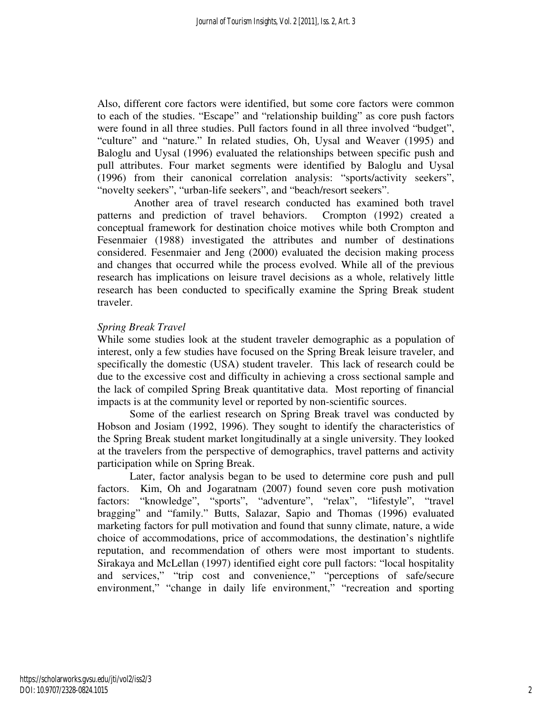Also, different core factors were identified, but some core factors were common to each of the studies. "Escape" and "relationship building" as core push factors were found in all three studies. Pull factors found in all three involved "budget", "culture" and "nature." In related studies, Oh, Uysal and Weaver (1995) and Baloglu and Uysal (1996) evaluated the relationships between specific push and pull attributes. Four market segments were identified by Baloglu and Uysal (1996) from their canonical correlation analysis: "sports/activity seekers", "novelty seekers", "urban-life seekers", and "beach/resort seekers".

Another area of travel research conducted has examined both travel patterns and prediction of travel behaviors. Crompton (1992) created a conceptual framework for destination choice motives while both Crompton and Fesenmaier (1988) investigated the attributes and number of destinations considered. Fesenmaier and Jeng (2000) evaluated the decision making process and changes that occurred while the process evolved. While all of the previous research has implications on leisure travel decisions as a whole, relatively little research has been conducted to specifically examine the Spring Break student traveler.

# *Spring Break Travel*

While some studies look at the student traveler demographic as a population of interest, only a few studies have focused on the Spring Break leisure traveler, and specifically the domestic (USA) student traveler. This lack of research could be due to the excessive cost and difficulty in achieving a cross sectional sample and the lack of compiled Spring Break quantitative data. Most reporting of financial impacts is at the community level or reported by non-scientific sources.

Some of the earliest research on Spring Break travel was conducted by Hobson and Josiam (1992, 1996). They sought to identify the characteristics of the Spring Break student market longitudinally at a single university. They looked at the travelers from the perspective of demographics, travel patterns and activity participation while on Spring Break.

Later, factor analysis began to be used to determine core push and pull factors. Kim, Oh and Jogaratnam (2007) found seven core push motivation factors: "knowledge", "sports", "adventure", "relax", "lifestyle", "travel bragging" and "family." Butts, Salazar, Sapio and Thomas (1996) evaluated marketing factors for pull motivation and found that sunny climate, nature, a wide choice of accommodations, price of accommodations, the destination's nightlife reputation, and recommendation of others were most important to students. Sirakaya and McLellan (1997) identified eight core pull factors: "local hospitality and services," "trip cost and convenience," "perceptions of safe/secure environment," "change in daily life environment," "recreation and sporting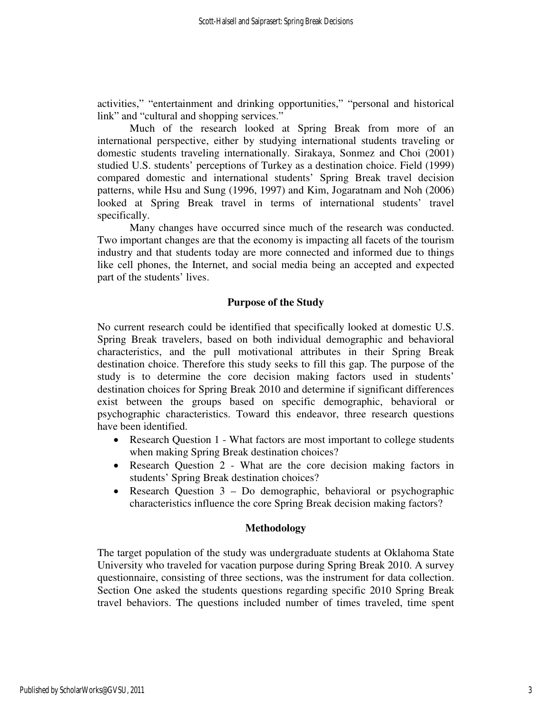activities," "entertainment and drinking opportunities," "personal and historical link" and "cultural and shopping services."

Much of the research looked at Spring Break from more of an international perspective, either by studying international students traveling or domestic students traveling internationally. Sirakaya, Sonmez and Choi (2001) studied U.S. students' perceptions of Turkey as a destination choice. Field (1999) compared domestic and international students' Spring Break travel decision patterns, while Hsu and Sung (1996, 1997) and Kim, Jogaratnam and Noh (2006) looked at Spring Break travel in terms of international students' travel specifically.

Many changes have occurred since much of the research was conducted. Two important changes are that the economy is impacting all facets of the tourism industry and that students today are more connected and informed due to things like cell phones, the Internet, and social media being an accepted and expected part of the students' lives.

# **Purpose of the Study**

No current research could be identified that specifically looked at domestic U.S. Spring Break travelers, based on both individual demographic and behavioral characteristics, and the pull motivational attributes in their Spring Break destination choice. Therefore this study seeks to fill this gap. The purpose of the study is to determine the core decision making factors used in students' destination choices for Spring Break 2010 and determine if significant differences exist between the groups based on specific demographic, behavioral or psychographic characteristics. Toward this endeavor, three research questions have been identified.

- Research Question 1 What factors are most important to college students when making Spring Break destination choices?
- Research Question 2 What are the core decision making factors in students' Spring Break destination choices?
- Research Question  $3 Do$  demographic, behavioral or psychographic characteristics influence the core Spring Break decision making factors?

# **Methodology**

The target population of the study was undergraduate students at Oklahoma State University who traveled for vacation purpose during Spring Break 2010. A survey questionnaire, consisting of three sections, was the instrument for data collection. Section One asked the students questions regarding specific 2010 Spring Break travel behaviors. The questions included number of times traveled, time spent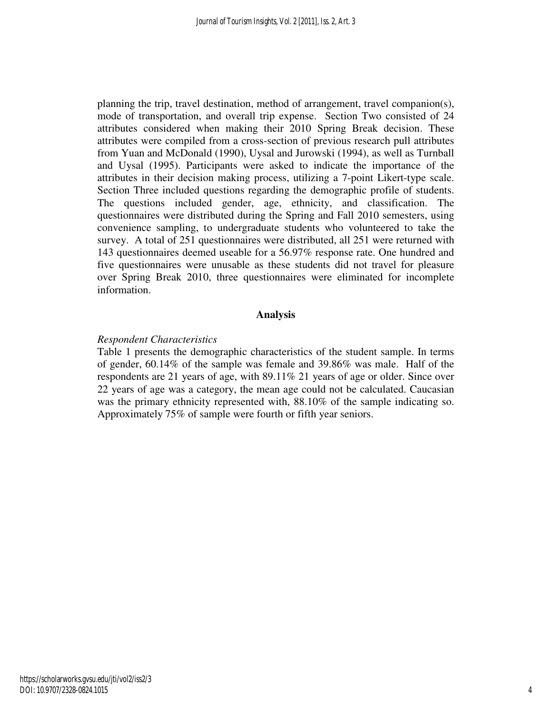planning the trip, travel destination, method of arrangement, travel companion(s), mode of transportation, and overall trip expense. Section Two consisted of 24 attributes considered when making their 2010 Spring Break decision. These attributes were compiled from a cross-section of previous research pull attributes from Yuan and McDonald (1990), Uysal and Jurowski (1994), as well as Turnball and Uysal (1995). Participants were asked to indicate the importance of the attributes in their decision making process, utilizing a 7-point Likert-type scale. Section Three included questions regarding the demographic profile of students. The questions included gender, age, ethnicity, and classification. The questionnaires were distributed during the Spring and Fall 2010 semesters, using convenience sampling, to undergraduate students who volunteered to take the survey. A total of 251 questionnaires were distributed, all 251 were returned with 143 questionnaires deemed useable for a 56.97% response rate. One hundred and five questionnaires were unusable as these students did not travel for pleasure over Spring Break 2010, three questionnaires were eliminated for incomplete information.

# **Analysis**

# *Respondent Characteristics*

Table 1 presents the demographic characteristics of the student sample. In terms of gender, 60.14% of the sample was female and 39.86% was male. Half of the respondents are 21 years of age, with 89.11% 21 years of age or older. Since over 22 years of age was a category, the mean age could not be calculated. Caucasian was the primary ethnicity represented with, 88.10% of the sample indicating so. Approximately 75% of sample were fourth or fifth year seniors.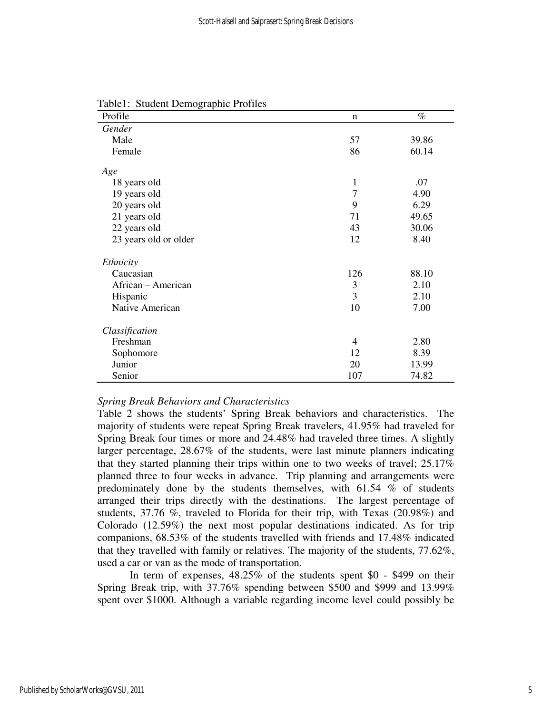| Profile               | $\mathbf n$    | $\%$  |
|-----------------------|----------------|-------|
| Gender                |                |       |
| Male                  | 57             | 39.86 |
| Female                | 86             | 60.14 |
| Age                   |                |       |
| 18 years old          | 1              | .07   |
| 19 years old          | $\overline{7}$ | 4.90  |
| 20 years old          | 9              | 6.29  |
| 21 years old          | 71             | 49.65 |
| 22 years old          | 43             | 30.06 |
| 23 years old or older | 12             | 8.40  |
| Ethnicity             |                |       |
| Caucasian             | 126            | 88.10 |
| African - American    | 3              | 2.10  |
| Hispanic              | 3              | 2.10  |
| Native American       | 10             | 7.00  |
| Classification        |                |       |
| Freshman              | $\overline{4}$ | 2.80  |
| Sophomore             | 12             | 8.39  |
| Junior                | 20             | 13.99 |
| Senior                | 107            | 74.82 |

Table1: Student Demographic Profiles

#### *Spring Break Behaviors and Characteristics*

Table 2 shows the students' Spring Break behaviors and characteristics. The majority of students were repeat Spring Break travelers, 41.95% had traveled for Spring Break four times or more and 24.48% had traveled three times. A slightly larger percentage, 28.67% of the students, were last minute planners indicating that they started planning their trips within one to two weeks of travel; 25.17% planned three to four weeks in advance. Trip planning and arrangements were predominately done by the students themselves, with 61.54 % of students arranged their trips directly with the destinations. The largest percentage of students, 37.76 %, traveled to Florida for their trip, with Texas (20.98%) and Colorado (12.59%) the next most popular destinations indicated. As for trip companions, 68.53% of the students travelled with friends and 17.48% indicated that they travelled with family or relatives. The majority of the students, 77.62%, used a car or van as the mode of transportation.

In term of expenses, 48.25% of the students spent \$0 - \$499 on their Spring Break trip, with 37.76% spending between \$500 and \$999 and 13.99% spent over \$1000. Although a variable regarding income level could possibly be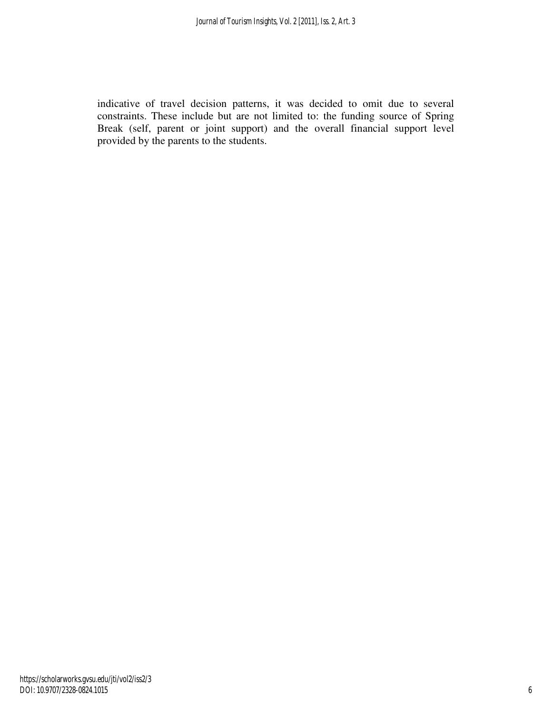indicative of travel decision patterns, it was decided to omit due to several constraints. These include but are not limited to: the funding source of Spring Break (self, parent or joint support) and the overall financial support level provided by the parents to the students.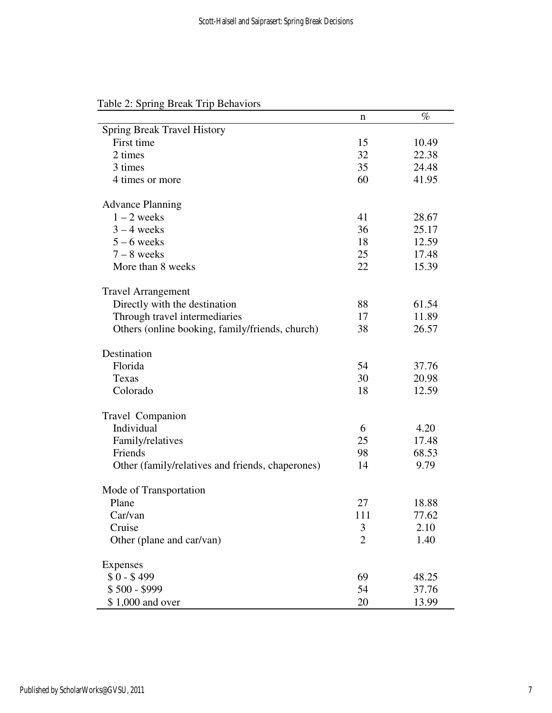|                                                  | n              | $\%$  |
|--------------------------------------------------|----------------|-------|
| <b>Spring Break Travel History</b>               |                |       |
| First time                                       | 15             | 10.49 |
| 2 times                                          | 32             | 22.38 |
| 3 times                                          | 35             | 24.48 |
| 4 times or more                                  | 60             | 41.95 |
| <b>Advance Planning</b>                          |                |       |
| $1 - 2$ weeks                                    | 41             | 28.67 |
| $3 - 4$ weeks                                    | 36             | 25.17 |
| $5 - 6$ weeks                                    | 18             | 12.59 |
| $7 - 8$ weeks                                    | 25             | 17.48 |
| More than 8 weeks                                | 22             | 15.39 |
| <b>Travel Arrangement</b>                        |                |       |
| Directly with the destination                    | 88             | 61.54 |
| Through travel intermediaries                    | 17             | 11.89 |
| Others (online booking, family/friends, church)  | 38             | 26.57 |
| Destination                                      |                |       |
| Florida                                          | 54             | 37.76 |
| Texas                                            | 30             | 20.98 |
| Colorado                                         | 18             | 12.59 |
| Travel Companion                                 |                |       |
| Individual                                       | 6              | 4.20  |
| Family/relatives                                 | 25             | 17.48 |
| Friends                                          | 98             | 68.53 |
| Other (family/relatives and friends, chaperones) | 14             | 9.79  |
| Mode of Transportation                           |                |       |
| Plane                                            | 27             | 18.88 |
| Car/van                                          | 111            | 77.62 |
| Cruise                                           | 3              | 2.10  |
| Other (plane and car/van)                        | $\overline{2}$ | 1.40  |
| Expenses                                         |                |       |
| $$0 - $499$                                      | 69             | 48.25 |
| $$500 - $999$                                    | 54             | 37.76 |
| \$1,000 and over                                 | 20             | 13.99 |

Table 2: Spring Break Trip Behaviors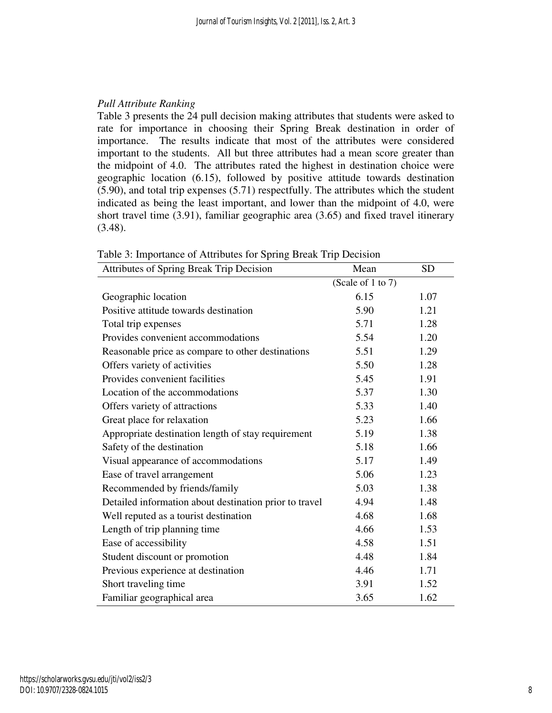# *Pull Attribute Ranking*

Table 3 presents the 24 pull decision making attributes that students were asked to rate for importance in choosing their Spring Break destination in order of importance. The results indicate that most of the attributes were considered important to the students. All but three attributes had a mean score greater than the midpoint of 4.0. The attributes rated the highest in destination choice were geographic location (6.15), followed by positive attitude towards destination (5.90), and total trip expenses (5.71) respectfully. The attributes which the student indicated as being the least important, and lower than the midpoint of 4.0, were short travel time (3.91), familiar geographic area (3.65) and fixed travel itinerary (3.48).

| Attributes of Spring Break Trip Decision               | Mean              | <b>SD</b> |
|--------------------------------------------------------|-------------------|-----------|
|                                                        | (Scale of 1 to 7) |           |
| Geographic location                                    | 6.15              | 1.07      |
| Positive attitude towards destination                  | 5.90              | 1.21      |
| Total trip expenses                                    | 5.71              | 1.28      |
| Provides convenient accommodations                     | 5.54              | 1.20      |
| Reasonable price as compare to other destinations      | 5.51              | 1.29      |
| Offers variety of activities                           | 5.50              | 1.28      |
| Provides convenient facilities                         | 5.45              | 1.91      |
| Location of the accommodations                         | 5.37              | 1.30      |
| Offers variety of attractions                          | 5.33              | 1.40      |
| Great place for relaxation                             | 5.23              | 1.66      |
| Appropriate destination length of stay requirement     | 5.19              | 1.38      |
| Safety of the destination                              | 5.18              | 1.66      |
| Visual appearance of accommodations                    | 5.17              | 1.49      |
| Ease of travel arrangement                             | 5.06              | 1.23      |
| Recommended by friends/family                          | 5.03              | 1.38      |
| Detailed information about destination prior to travel | 4.94              | 1.48      |
| Well reputed as a tourist destination                  | 4.68              | 1.68      |
| Length of trip planning time                           | 4.66              | 1.53      |
| Ease of accessibility                                  | 4.58              | 1.51      |
| Student discount or promotion                          | 4.48              | 1.84      |
| Previous experience at destination                     | 4.46              | 1.71      |
| Short traveling time                                   | 3.91              | 1.52      |
| Familiar geographical area                             | 3.65              | 1.62      |

Table 3: Importance of Attributes for Spring Break Trip Decision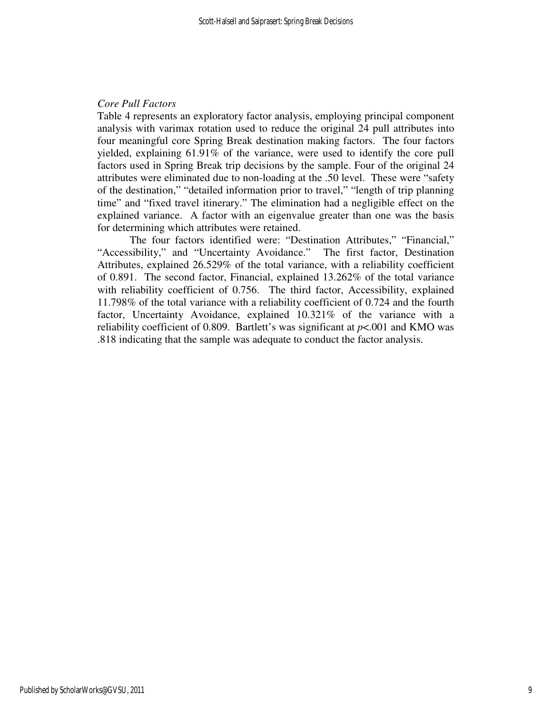# *Core Pull Factors*

Table 4 represents an exploratory factor analysis, employing principal component analysis with varimax rotation used to reduce the original 24 pull attributes into four meaningful core Spring Break destination making factors. The four factors yielded, explaining 61.91% of the variance, were used to identify the core pull factors used in Spring Break trip decisions by the sample. Four of the original 24 attributes were eliminated due to non-loading at the .50 level. These were "safety of the destination," "detailed information prior to travel," "length of trip planning time" and "fixed travel itinerary." The elimination had a negligible effect on the explained variance. A factor with an eigenvalue greater than one was the basis for determining which attributes were retained.

 The four factors identified were: "Destination Attributes," "Financial," "Accessibility," and "Uncertainty Avoidance." The first factor, Destination Attributes, explained 26.529% of the total variance, with a reliability coefficient of 0.891. The second factor, Financial, explained 13.262% of the total variance with reliability coefficient of 0.756. The third factor, Accessibility, explained 11.798% of the total variance with a reliability coefficient of 0.724 and the fourth factor, Uncertainty Avoidance, explained 10.321% of the variance with a reliability coefficient of 0.809. Bartlett's was significant at  $p < .001$  and KMO was .818 indicating that the sample was adequate to conduct the factor analysis.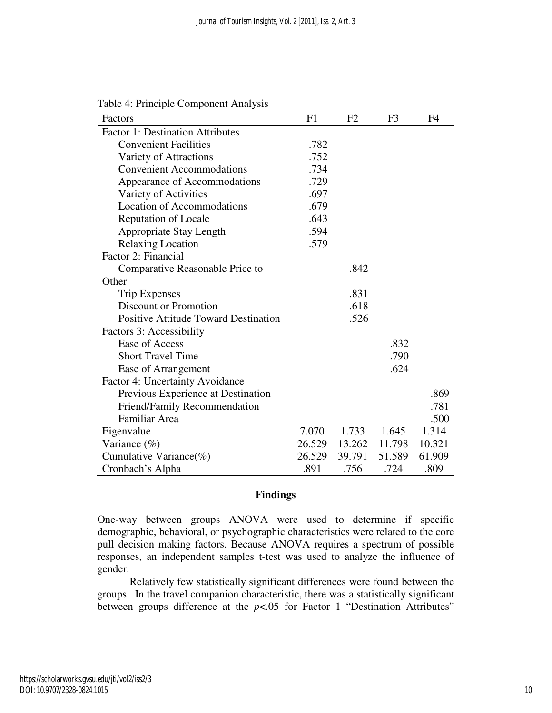| Factors                                     | F1     | F <sub>2</sub> | F <sub>3</sub> | F <sub>4</sub> |
|---------------------------------------------|--------|----------------|----------------|----------------|
| <b>Factor 1: Destination Attributes</b>     |        |                |                |                |
| <b>Convenient Facilities</b>                | .782   |                |                |                |
| Variety of Attractions                      | .752   |                |                |                |
| <b>Convenient Accommodations</b>            | .734   |                |                |                |
| Appearance of Accommodations                | .729   |                |                |                |
| Variety of Activities                       | .697   |                |                |                |
| <b>Location of Accommodations</b>           | .679   |                |                |                |
| <b>Reputation of Locale</b>                 | .643   |                |                |                |
| Appropriate Stay Length                     | .594   |                |                |                |
| <b>Relaxing Location</b>                    | .579   |                |                |                |
| Factor 2: Financial                         |        |                |                |                |
| Comparative Reasonable Price to             |        | .842           |                |                |
| Other                                       |        |                |                |                |
| <b>Trip Expenses</b>                        |        | .831           |                |                |
| <b>Discount or Promotion</b>                |        | .618           |                |                |
| <b>Positive Attitude Toward Destination</b> |        | .526           |                |                |
| Factors 3: Accessibility                    |        |                |                |                |
| Ease of Access                              |        |                | .832           |                |
| <b>Short Travel Time</b>                    |        |                | .790           |                |
| Ease of Arrangement                         |        |                | .624           |                |
| Factor 4: Uncertainty Avoidance             |        |                |                |                |
| Previous Experience at Destination          |        |                |                | .869           |
| Friend/Family Recommendation                |        |                |                | .781           |
| Familiar Area                               |        |                |                | .500           |
| Eigenvalue                                  | 7.070  | 1.733          | 1.645          | 1.314          |
| Variance $(\%)$                             | 26.529 | 13.262         | 11.798         | 10.321         |
| Cumulative Variance( $\%$ )                 | 26.529 | 39.791         | 51.589         | 61.909         |
| Cronbach's Alpha                            | .891   | .756           | .724           | .809           |

Table 4: Principle Component Analysis

#### **Findings**

One-way between groups ANOVA were used to determine if specific demographic, behavioral, or psychographic characteristics were related to the core pull decision making factors. Because ANOVA requires a spectrum of possible responses, an independent samples t-test was used to analyze the influence of gender.

 Relatively few statistically significant differences were found between the groups. In the travel companion characteristic, there was a statistically significant between groups difference at the *p*<.05 for Factor 1 "Destination Attributes"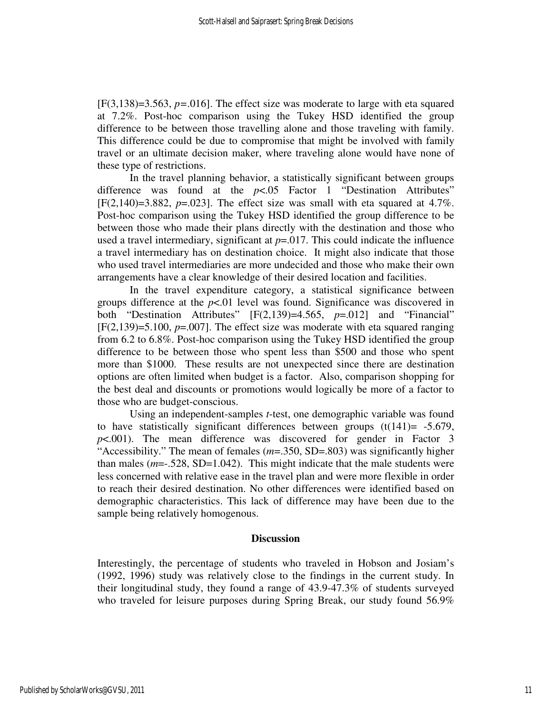[F(3,138)=3.563, *p=*.016]. The effect size was moderate to large with eta squared at 7.2%. Post-hoc comparison using the Tukey HSD identified the group difference to be between those travelling alone and those traveling with family. This difference could be due to compromise that might be involved with family travel or an ultimate decision maker, where traveling alone would have none of these type of restrictions.

In the travel planning behavior, a statistically significant between groups difference was found at the *p*<.05 Factor 1 "Destination Attributes"  $[F(2,140)=3.882, p=.023]$ . The effect size was small with eta squared at 4.7%. Post-hoc comparison using the Tukey HSD identified the group difference to be between those who made their plans directly with the destination and those who used a travel intermediary, significant at  $p=0.017$ . This could indicate the influence a travel intermediary has on destination choice. It might also indicate that those who used travel intermediaries are more undecided and those who make their own arrangements have a clear knowledge of their desired location and facilities.

 In the travel expenditure category, a statistical significance between groups difference at the *p*<.01 level was found. Significance was discovered in both "Destination Attributes" [F(2,139)=4.565, *p*=.012] and "Financial" [F(2,139)=5.100, *p*=.007]. The effect size was moderate with eta squared ranging from 6.2 to 6.8%. Post-hoc comparison using the Tukey HSD identified the group difference to be between those who spent less than \$500 and those who spent more than \$1000. These results are not unexpected since there are destination options are often limited when budget is a factor. Also, comparison shopping for the best deal and discounts or promotions would logically be more of a factor to those who are budget-conscious.

 Using an independent-samples *t*-test, one demographic variable was found to have statistically significant differences between groups  $(t(141)= -5.679)$ , *p*<.001). The mean difference was discovered for gender in Factor 3 "Accessibility." The mean of females (*m*=.350, SD=.803) was significantly higher than males  $(m=-.528, SD=1.042)$ . This might indicate that the male students were less concerned with relative ease in the travel plan and were more flexible in order to reach their desired destination. No other differences were identified based on demographic characteristics. This lack of difference may have been due to the sample being relatively homogenous.

#### **Discussion**

Interestingly, the percentage of students who traveled in Hobson and Josiam's (1992, 1996) study was relatively close to the findings in the current study. In their longitudinal study, they found a range of 43.9-47.3% of students surveyed who traveled for leisure purposes during Spring Break, our study found 56.9%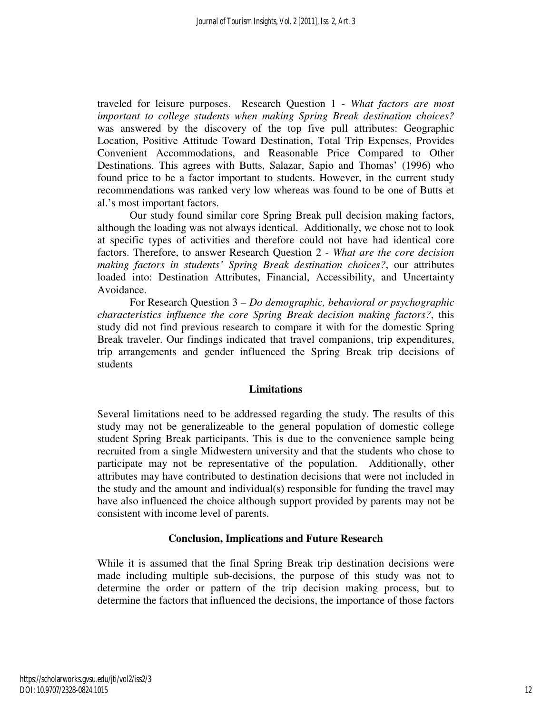traveled for leisure purposes. Research Question 1 - *What factors are most important to college students when making Spring Break destination choices?* was answered by the discovery of the top five pull attributes: Geographic Location, Positive Attitude Toward Destination, Total Trip Expenses, Provides Convenient Accommodations, and Reasonable Price Compared to Other Destinations. This agrees with Butts, Salazar, Sapio and Thomas' (1996) who found price to be a factor important to students. However, in the current study recommendations was ranked very low whereas was found to be one of Butts et al.'s most important factors.

Our study found similar core Spring Break pull decision making factors, although the loading was not always identical. Additionally, we chose not to look at specific types of activities and therefore could not have had identical core factors. Therefore, to answer Research Question 2 - *What are the core decision making factors in students' Spring Break destination choices?*, our attributes loaded into: Destination Attributes, Financial, Accessibility, and Uncertainty Avoidance.

 For Research Question 3 *– Do demographic, behavioral or psychographic characteristics influence the core Spring Break decision making factors?*, this study did not find previous research to compare it with for the domestic Spring Break traveler. Our findings indicated that travel companions, trip expenditures, trip arrangements and gender influenced the Spring Break trip decisions of students

# **Limitations**

Several limitations need to be addressed regarding the study. The results of this study may not be generalizeable to the general population of domestic college student Spring Break participants. This is due to the convenience sample being recruited from a single Midwestern university and that the students who chose to participate may not be representative of the population. Additionally, other attributes may have contributed to destination decisions that were not included in the study and the amount and individual(s) responsible for funding the travel may have also influenced the choice although support provided by parents may not be consistent with income level of parents.

# **Conclusion, Implications and Future Research**

While it is assumed that the final Spring Break trip destination decisions were made including multiple sub-decisions, the purpose of this study was not to determine the order or pattern of the trip decision making process, but to determine the factors that influenced the decisions, the importance of those factors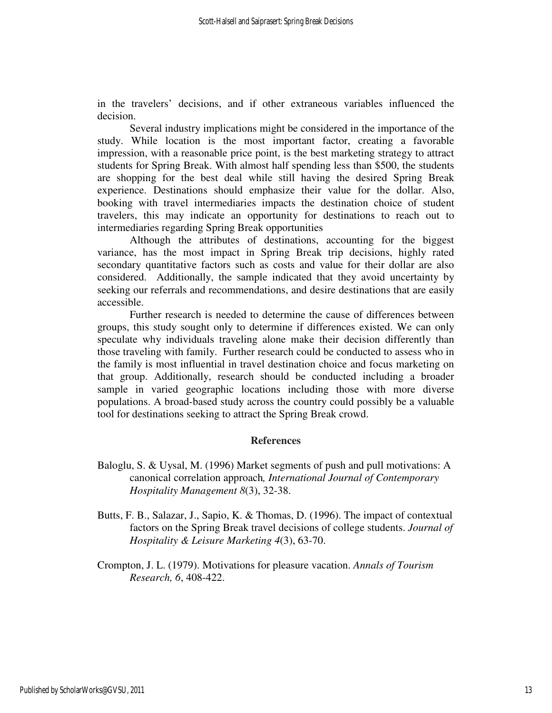in the travelers' decisions, and if other extraneous variables influenced the decision.

Several industry implications might be considered in the importance of the study. While location is the most important factor, creating a favorable impression, with a reasonable price point, is the best marketing strategy to attract students for Spring Break. With almost half spending less than \$500, the students are shopping for the best deal while still having the desired Spring Break experience. Destinations should emphasize their value for the dollar. Also, booking with travel intermediaries impacts the destination choice of student travelers, this may indicate an opportunity for destinations to reach out to intermediaries regarding Spring Break opportunities

Although the attributes of destinations, accounting for the biggest variance, has the most impact in Spring Break trip decisions, highly rated secondary quantitative factors such as costs and value for their dollar are also considered. Additionally, the sample indicated that they avoid uncertainty by seeking our referrals and recommendations, and desire destinations that are easily accessible.

Further research is needed to determine the cause of differences between groups, this study sought only to determine if differences existed. We can only speculate why individuals traveling alone make their decision differently than those traveling with family. Further research could be conducted to assess who in the family is most influential in travel destination choice and focus marketing on that group. Additionally, research should be conducted including a broader sample in varied geographic locations including those with more diverse populations. A broad-based study across the country could possibly be a valuable tool for destinations seeking to attract the Spring Break crowd.

#### **References**

- Baloglu, S. & Uysal, M. (1996) Market segments of push and pull motivations: A canonical correlation approach*, International Journal of Contemporary Hospitality Management 8*(3), 32-38.
- Butts, F. B., Salazar, J., Sapio, K. & Thomas, D. (1996). The impact of contextual factors on the Spring Break travel decisions of college students. *Journal of Hospitality & Leisure Marketing 4*(3), 63-70.
- Crompton, J. L. (1979). Motivations for pleasure vacation. *Annals of Tourism Research, 6*, 408-422.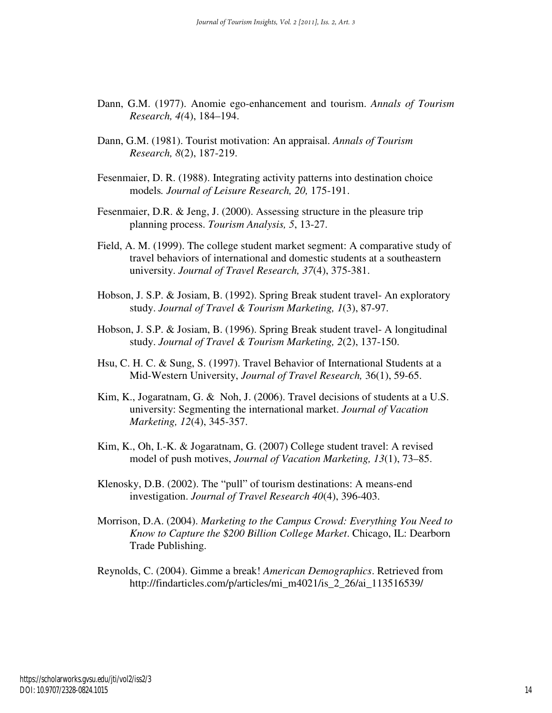- Dann, G.M. (1977). Anomie ego-enhancement and tourism. *Annals of Tourism Research, 4(*4), 184–194.
- Dann, G.M. (1981). Tourist motivation: An appraisal. *Annals of Tourism Research, 8*(2), 187-219.
- Fesenmaier, D. R. (1988). Integrating activity patterns into destination choice models*. Journal of Leisure Research, 20,* 175-191.
- Fesenmaier, D.R. & Jeng, J. (2000). Assessing structure in the pleasure trip planning process. *Tourism Analysis, 5*, 13-27.
- Field, A. M. (1999). The college student market segment: A comparative study of travel behaviors of international and domestic students at a southeastern university. *Journal of Travel Research, 37*(4), 375-381.
- Hobson, J. S.P. & Josiam, B. (1992). Spring Break student travel- An exploratory study. *Journal of Travel & Tourism Marketing, 1*(3), 87-97.
- Hobson, J. S.P. & Josiam, B. (1996). Spring Break student travel- A longitudinal study. *Journal of Travel & Tourism Marketing, 2*(2), 137-150.
- Hsu, C. H. C. & Sung, S. (1997). Travel Behavior of International Students at a Mid-Western University, *Journal of Travel Research,* 36(1), 59-65.
- Kim, K., Jogaratnam, G. & Noh, J. (2006). Travel decisions of students at a U.S. university: Segmenting the international market. *Journal of Vacation Marketing, 12*(4), 345-357.
- Kim, K., Oh, I.-K. & Jogaratnam, G. (2007) College student travel: A revised model of push motives, *Journal of Vacation Marketing, 13*(1), 73–85.
- Klenosky, D.B. (2002). The "pull" of tourism destinations: A means-end investigation. *Journal of Travel Research 40*(4), 396-403.
- Morrison, D.A. (2004). *Marketing to the Campus Crowd: Everything You Need to Know to Capture the \$200 Billion College Market*. Chicago, IL: Dearborn Trade Publishing.
- Reynolds, C. (2004). Gimme a break! *American Demographics*. Retrieved from http://findarticles.com/p/articles/mi\_m4021/is\_2\_26/ai\_113516539/